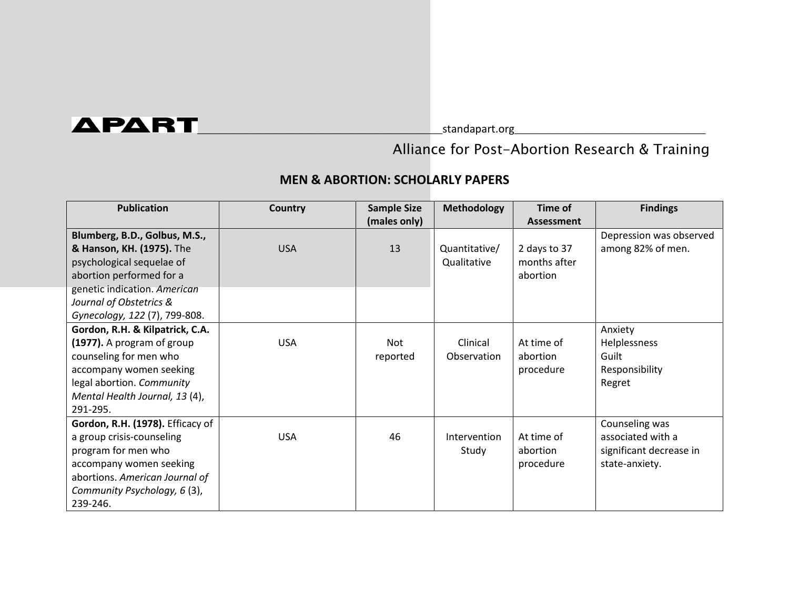## $\blacktriangle$ P $\blacktriangle$ RT $\square$

## Alliance for Post-Abortion Research & Training

## **MEN & ABORTION: SCHOLARLY PAPERS**

| <b>Publication</b>               | Country    | <b>Sample Size</b> | <b>Methodology</b> | Time of           | <b>Findings</b>         |
|----------------------------------|------------|--------------------|--------------------|-------------------|-------------------------|
|                                  |            | (males only)       |                    | <b>Assessment</b> |                         |
| Blumberg, B.D., Golbus, M.S.,    |            |                    |                    |                   | Depression was observed |
| & Hanson, KH. (1975). The        | <b>USA</b> | 13                 | Quantitative/      | 2 days to 37      | among 82% of men.       |
| psychological sequelae of        |            |                    | Qualitative        | months after      |                         |
| abortion performed for a         |            |                    |                    | abortion          |                         |
| genetic indication. American     |            |                    |                    |                   |                         |
| Journal of Obstetrics &          |            |                    |                    |                   |                         |
| Gynecology, 122 (7), 799-808.    |            |                    |                    |                   |                         |
| Gordon, R.H. & Kilpatrick, C.A.  |            |                    |                    |                   | Anxiety                 |
| (1977). A program of group       | <b>USA</b> | Not                | Clinical           | At time of        | Helplessness            |
| counseling for men who           |            | reported           | Observation        | abortion          | Guilt                   |
| accompany women seeking          |            |                    |                    | procedure         | Responsibility          |
| legal abortion. Community        |            |                    |                    |                   | Regret                  |
| Mental Health Journal, 13 (4),   |            |                    |                    |                   |                         |
| 291-295.                         |            |                    |                    |                   |                         |
| Gordon, R.H. (1978). Efficacy of |            |                    |                    |                   | Counseling was          |
| a group crisis-counseling        | <b>USA</b> | 46                 | Intervention       | At time of        | associated with a       |
| program for men who              |            |                    | Study              | abortion          | significant decrease in |
| accompany women seeking          |            |                    |                    | procedure         | state-anxiety.          |
| abortions. American Journal of   |            |                    |                    |                   |                         |
| Community Psychology, 6 (3),     |            |                    |                    |                   |                         |
| 239-246.                         |            |                    |                    |                   |                         |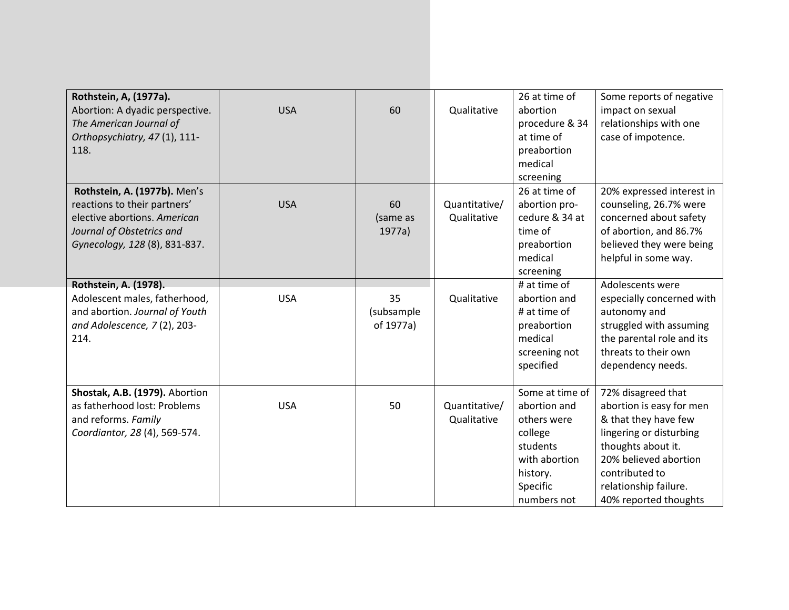| Rothstein, A, (1977a).          |            |            |               | 26 at time of   | Some reports of negative  |
|---------------------------------|------------|------------|---------------|-----------------|---------------------------|
| Abortion: A dyadic perspective. | <b>USA</b> | 60         | Qualitative   | abortion        | impact on sexual          |
| The American Journal of         |            |            |               | procedure & 34  | relationships with one    |
| Orthopsychiatry, 47 (1), 111-   |            |            |               | at time of      | case of impotence.        |
| 118.                            |            |            |               | preabortion     |                           |
|                                 |            |            |               | medical         |                           |
|                                 |            |            |               | screening       |                           |
| Rothstein, A. (1977b). Men's    |            |            |               | 26 at time of   | 20% expressed interest in |
| reactions to their partners'    | <b>USA</b> | 60         | Quantitative/ | abortion pro-   | counseling, 26.7% were    |
| elective abortions. American    |            | (same as   | Qualitative   | cedure & 34 at  | concerned about safety    |
| Journal of Obstetrics and       |            | 1977a)     |               | time of         | of abortion, and 86.7%    |
| Gynecology, 128 (8), 831-837.   |            |            |               | preabortion     | believed they were being  |
|                                 |            |            |               | medical         | helpful in some way.      |
|                                 |            |            |               | screening       |                           |
| Rothstein, A. (1978).           |            |            |               | # at time of    | Adolescents were          |
| Adolescent males, fatherhood,   | <b>USA</b> | 35         | Qualitative   | abortion and    | especially concerned with |
| and abortion. Journal of Youth  |            | (subsample |               | # at time of    | autonomy and              |
| and Adolescence, 7(2), 203-     |            | of 1977a)  |               | preabortion     | struggled with assuming   |
| 214.                            |            |            |               | medical         | the parental role and its |
|                                 |            |            |               | screening not   | threats to their own      |
|                                 |            |            |               | specified       | dependency needs.         |
|                                 |            |            |               |                 |                           |
| Shostak, A.B. (1979). Abortion  |            |            |               | Some at time of | 72% disagreed that        |
| as fatherhood lost: Problems    | <b>USA</b> | 50         | Quantitative/ | abortion and    | abortion is easy for men  |
| and reforms. Family             |            |            | Qualitative   | others were     | & that they have few      |
| Coordiantor, 28 (4), 569-574.   |            |            |               | college         | lingering or disturbing   |
|                                 |            |            |               | students        | thoughts about it.        |
|                                 |            |            |               | with abortion   | 20% believed abortion     |
|                                 |            |            |               | history.        | contributed to            |
|                                 |            |            |               | Specific        | relationship failure.     |
|                                 |            |            |               | numbers not     | 40% reported thoughts     |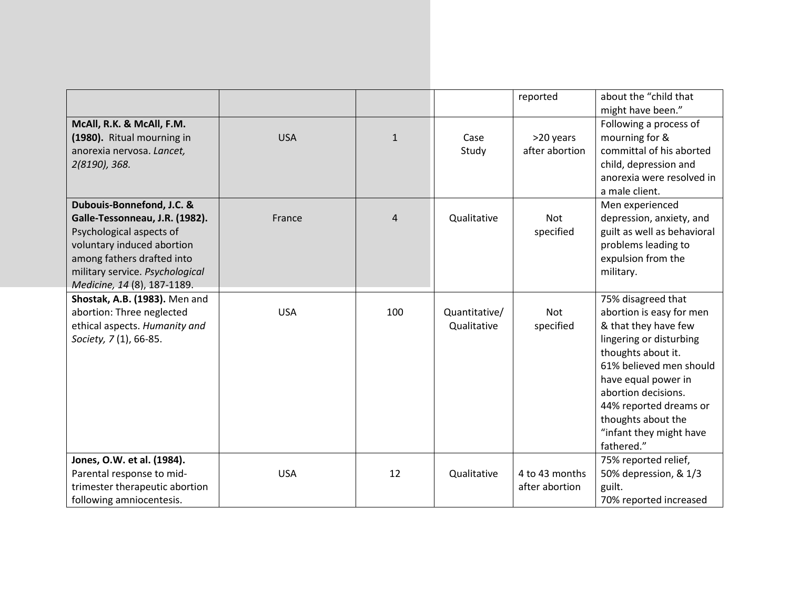|                                 |            |              |               | reported       | about the "child that       |
|---------------------------------|------------|--------------|---------------|----------------|-----------------------------|
|                                 |            |              |               |                | might have been."           |
| McAll, R.K. & McAll, F.M.       |            |              |               |                | Following a process of      |
| (1980). Ritual mourning in      | <b>USA</b> | $\mathbf{1}$ | Case          | >20 years      | mourning for &              |
| anorexia nervosa. Lancet,       |            |              | Study         | after abortion | committal of his aborted    |
| 2(8190), 368.                   |            |              |               |                | child, depression and       |
|                                 |            |              |               |                | anorexia were resolved in   |
|                                 |            |              |               |                | a male client.              |
| Dubouis-Bonnefond, J.C. &       |            |              |               |                | Men experienced             |
| Galle-Tessonneau, J.R. (1982).  | France     | 4            | Qualitative   | <b>Not</b>     | depression, anxiety, and    |
| Psychological aspects of        |            |              |               | specified      | guilt as well as behavioral |
| voluntary induced abortion      |            |              |               |                | problems leading to         |
| among fathers drafted into      |            |              |               |                | expulsion from the          |
| military service. Psychological |            |              |               |                | military.                   |
| Medicine, 14 (8), 187-1189.     |            |              |               |                |                             |
| Shostak, A.B. (1983). Men and   |            |              |               |                | 75% disagreed that          |
| abortion: Three neglected       | <b>USA</b> | 100          | Quantitative/ | Not            | abortion is easy for men    |
| ethical aspects. Humanity and   |            |              | Qualitative   | specified      | & that they have few        |
| Society, 7 (1), 66-85.          |            |              |               |                | lingering or disturbing     |
|                                 |            |              |               |                | thoughts about it.          |
|                                 |            |              |               |                | 61% believed men should     |
|                                 |            |              |               |                | have equal power in         |
|                                 |            |              |               |                | abortion decisions.         |
|                                 |            |              |               |                | 44% reported dreams or      |
|                                 |            |              |               |                | thoughts about the          |
|                                 |            |              |               |                | "infant they might have     |
|                                 |            |              |               |                | fathered."                  |
| Jones, O.W. et al. (1984).      |            |              |               |                | 75% reported relief,        |
| Parental response to mid-       | <b>USA</b> | 12           | Qualitative   | 4 to 43 months | 50% depression, & 1/3       |
| trimester therapeutic abortion  |            |              |               | after abortion | guilt.                      |
|                                 |            |              |               |                |                             |
| following amniocentesis.        |            |              |               |                | 70% reported increased      |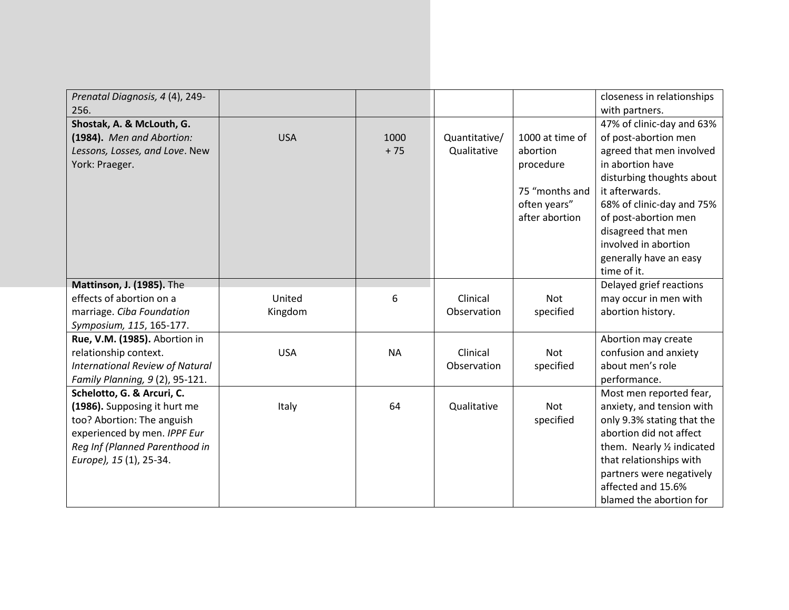| Prenatal Diagnosis, 4 (4), 249-        |            |           |               |                 | closeness in relationships |
|----------------------------------------|------------|-----------|---------------|-----------------|----------------------------|
| 256.                                   |            |           |               |                 | with partners.             |
| Shostak, A. & McLouth, G.              |            |           |               |                 | 47% of clinic-day and 63%  |
| (1984). Men and Abortion:              | <b>USA</b> | 1000      | Quantitative/ | 1000 at time of | of post-abortion men       |
| Lessons, Losses, and Love. New         |            | $+75$     | Qualitative   | abortion        | agreed that men involved   |
| York: Praeger.                         |            |           |               | procedure       | in abortion have           |
|                                        |            |           |               |                 | disturbing thoughts about  |
|                                        |            |           |               | 75 "months and  | it afterwards.             |
|                                        |            |           |               | often years"    | 68% of clinic-day and 75%  |
|                                        |            |           |               | after abortion  | of post-abortion men       |
|                                        |            |           |               |                 | disagreed that men         |
|                                        |            |           |               |                 | involved in abortion       |
|                                        |            |           |               |                 | generally have an easy     |
|                                        |            |           |               |                 | time of it.                |
| Mattinson, J. (1985). The              |            |           |               |                 | Delayed grief reactions    |
| effects of abortion on a               | United     | 6         | Clinical      | <b>Not</b>      | may occur in men with      |
| marriage. Ciba Foundation              | Kingdom    |           | Observation   | specified       | abortion history.          |
| Symposium, 115, 165-177.               |            |           |               |                 |                            |
| Rue, V.M. (1985). Abortion in          |            |           |               |                 | Abortion may create        |
| relationship context.                  | <b>USA</b> | <b>NA</b> | Clinical      | <b>Not</b>      | confusion and anxiety      |
| <b>International Review of Natural</b> |            |           | Observation   | specified       | about men's role           |
| Family Planning, 9 (2), 95-121.        |            |           |               |                 | performance.               |
| Schelotto, G. & Arcuri, C.             |            |           |               |                 | Most men reported fear,    |
| (1986). Supposing it hurt me           | Italy      | 64        | Qualitative   | <b>Not</b>      | anxiety, and tension with  |
| too? Abortion: The anguish             |            |           |               | specified       | only 9.3% stating that the |
| experienced by men. IPPF Eur           |            |           |               |                 | abortion did not affect    |
| Reg Inf (Planned Parenthood in         |            |           |               |                 | them. Nearly 1/2 indicated |
| Europe), 15 (1), 25-34.                |            |           |               |                 | that relationships with    |
|                                        |            |           |               |                 | partners were negatively   |
|                                        |            |           |               |                 | affected and 15.6%         |
|                                        |            |           |               |                 | blamed the abortion for    |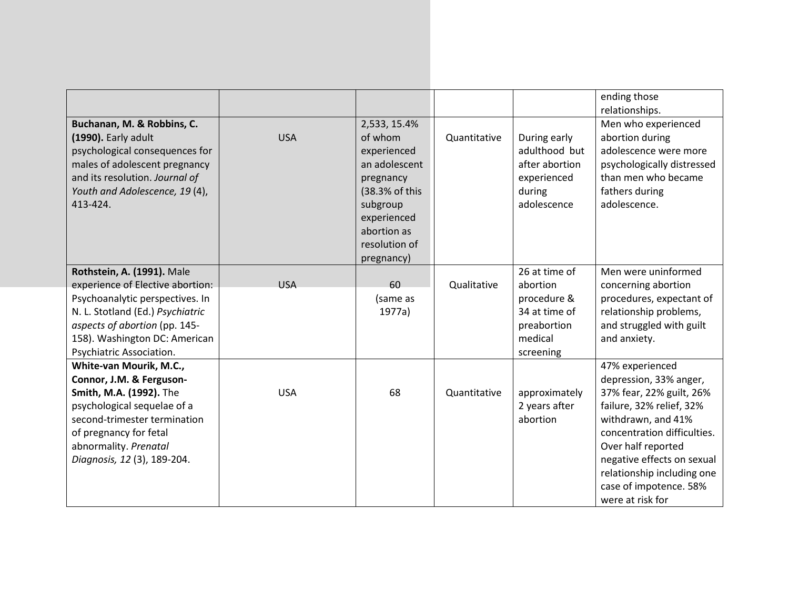| Buchanan, M. & Robbins, C.                                                                                                                                                                                                          |            | 2,533, 15.4%                                                                                                                                    |              |                                                                                                  | ending those<br>relationships.<br>Men who experienced                                                                                                                                                                                                                                  |
|-------------------------------------------------------------------------------------------------------------------------------------------------------------------------------------------------------------------------------------|------------|-------------------------------------------------------------------------------------------------------------------------------------------------|--------------|--------------------------------------------------------------------------------------------------|----------------------------------------------------------------------------------------------------------------------------------------------------------------------------------------------------------------------------------------------------------------------------------------|
| (1990). Early adult<br>psychological consequences for<br>males of adolescent pregnancy<br>and its resolution. Journal of<br>Youth and Adolescence, 19 (4),<br>413-424.                                                              | <b>USA</b> | of whom<br>experienced<br>an adolescent<br>pregnancy<br>(38.3% of this<br>subgroup<br>experienced<br>abortion as<br>resolution of<br>pregnancy) | Quantitative | During early<br>adulthood but<br>after abortion<br>experienced<br>during<br>adolescence          | abortion during<br>adolescence were more<br>psychologically distressed<br>than men who became<br>fathers during<br>adolescence.                                                                                                                                                        |
| Rothstein, A. (1991). Male<br>experience of Elective abortion:<br>Psychoanalytic perspectives. In<br>N. L. Stotland (Ed.) Psychiatric<br>aspects of abortion (pp. 145-<br>158). Washington DC: American<br>Psychiatric Association. | <b>USA</b> | 60<br>(same as<br>1977a)                                                                                                                        | Qualitative  | 26 at time of<br>abortion<br>procedure &<br>34 at time of<br>preabortion<br>medical<br>screening | Men were uninformed<br>concerning abortion<br>procedures, expectant of<br>relationship problems,<br>and struggled with guilt<br>and anxiety.                                                                                                                                           |
| White-van Mourik, M.C.,<br>Connor, J.M. & Ferguson-<br>Smith, M.A. (1992). The<br>psychological sequelae of a<br>second-trimester termination<br>of pregnancy for fetal<br>abnormality. Prenatal<br>Diagnosis, 12 (3), 189-204.     | <b>USA</b> | 68                                                                                                                                              | Quantitative | approximately<br>2 years after<br>abortion                                                       | 47% experienced<br>depression, 33% anger,<br>37% fear, 22% guilt, 26%<br>failure, 32% relief, 32%<br>withdrawn, and 41%<br>concentration difficulties.<br>Over half reported<br>negative effects on sexual<br>relationship including one<br>case of impotence. 58%<br>were at risk for |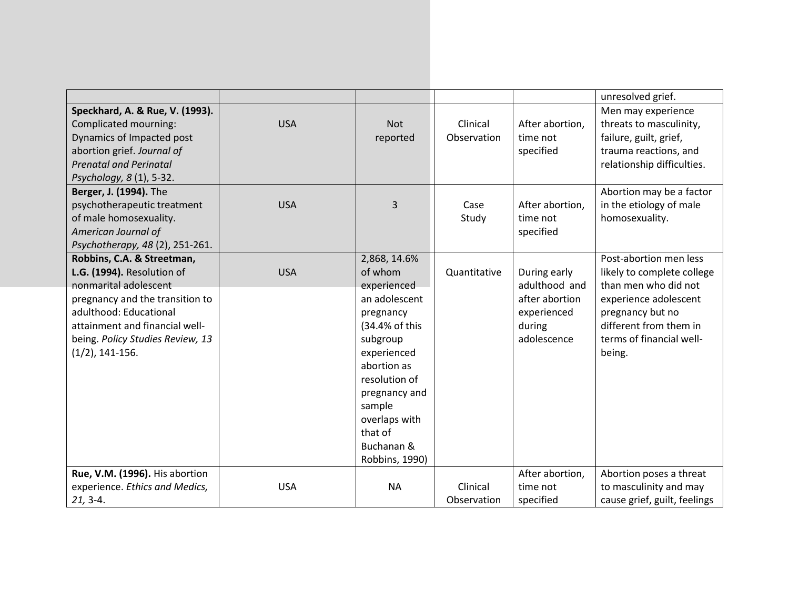|                                                                                                                                                                                                                                            |            |                                                                                                                                                                                                                                          |                         |                                                                                         | unresolved grief.                                                                                                                                                                         |
|--------------------------------------------------------------------------------------------------------------------------------------------------------------------------------------------------------------------------------------------|------------|------------------------------------------------------------------------------------------------------------------------------------------------------------------------------------------------------------------------------------------|-------------------------|-----------------------------------------------------------------------------------------|-------------------------------------------------------------------------------------------------------------------------------------------------------------------------------------------|
| Speckhard, A. & Rue, V. (1993).<br>Complicated mourning:<br>Dynamics of Impacted post<br>abortion grief. Journal of<br><b>Prenatal and Perinatal</b><br>Psychology, 8 (1), 5-32.                                                           | <b>USA</b> | <b>Not</b><br>reported                                                                                                                                                                                                                   | Clinical<br>Observation | After abortion,<br>time not<br>specified                                                | Men may experience<br>threats to masculinity,<br>failure, guilt, grief,<br>trauma reactions, and<br>relationship difficulties.                                                            |
| Berger, J. (1994). The<br>psychotherapeutic treatment<br>of male homosexuality.<br>American Journal of<br>Psychotherapy, 48 (2), 251-261.                                                                                                  | <b>USA</b> | 3                                                                                                                                                                                                                                        | Case<br>Study           | After abortion,<br>time not<br>specified                                                | Abortion may be a factor<br>in the etiology of male<br>homosexuality.                                                                                                                     |
| Robbins, C.A. & Streetman,<br>L.G. (1994). Resolution of<br>nonmarital adolescent<br>pregnancy and the transition to<br>adulthood: Educational<br>attainment and financial well-<br>being. Policy Studies Review, 13<br>$(1/2)$ , 141-156. | <b>USA</b> | 2,868, 14.6%<br>of whom<br>experienced<br>an adolescent<br>pregnancy<br>(34.4% of this<br>subgroup<br>experienced<br>abortion as<br>resolution of<br>pregnancy and<br>sample<br>overlaps with<br>that of<br>Buchanan &<br>Robbins, 1990) | Quantitative            | During early<br>adulthood and<br>after abortion<br>experienced<br>during<br>adolescence | Post-abortion men less<br>likely to complete college<br>than men who did not<br>experience adolescent<br>pregnancy but no<br>different from them in<br>terms of financial well-<br>being. |
| Rue, V.M. (1996). His abortion<br>experience. Ethics and Medics,<br>$21, 3-4.$                                                                                                                                                             | <b>USA</b> | <b>NA</b>                                                                                                                                                                                                                                | Clinical<br>Observation | After abortion,<br>time not<br>specified                                                | Abortion poses a threat<br>to masculinity and may<br>cause grief, guilt, feelings                                                                                                         |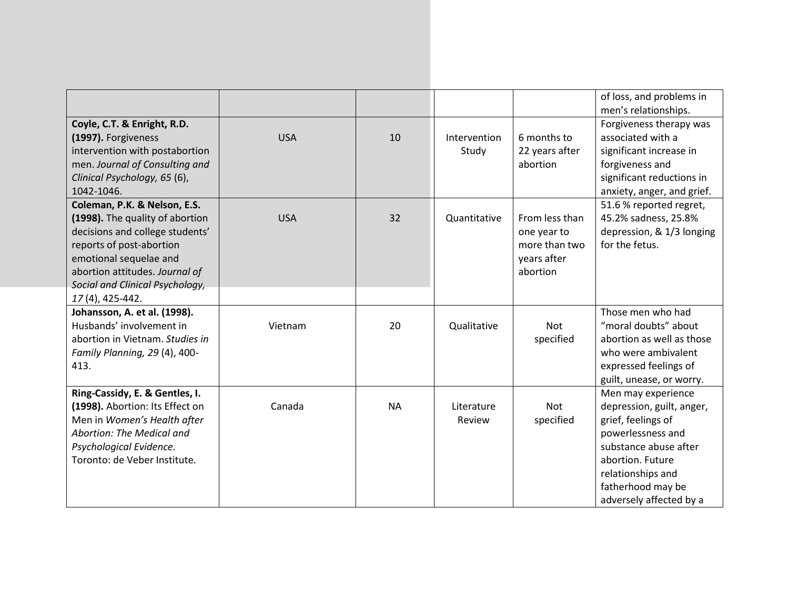|                                                                                                                                                                                                                               |            |           |                       |                                                                           | of loss, and problems in<br>men's relationships.                                                                                                                                                             |
|-------------------------------------------------------------------------------------------------------------------------------------------------------------------------------------------------------------------------------|------------|-----------|-----------------------|---------------------------------------------------------------------------|--------------------------------------------------------------------------------------------------------------------------------------------------------------------------------------------------------------|
| Coyle, C.T. & Enright, R.D.<br>(1997). Forgiveness<br>intervention with postabortion<br>men. Journal of Consulting and<br>Clinical Psychology, 65 (6),                                                                        | <b>USA</b> | 10        | Intervention<br>Study | 6 months to<br>22 years after<br>abortion                                 | Forgiveness therapy was<br>associated with a<br>significant increase in<br>forgiveness and<br>significant reductions in                                                                                      |
| 1042-1046.                                                                                                                                                                                                                    |            |           |                       |                                                                           | anxiety, anger, and grief.                                                                                                                                                                                   |
| Coleman, P.K. & Nelson, E.S.<br>(1998). The quality of abortion<br>decisions and college students'<br>reports of post-abortion<br>emotional sequelae and<br>abortion attitudes. Journal of<br>Social and Clinical Psychology, | <b>USA</b> | 32        | Quantitative          | From less than<br>one year to<br>more than two<br>years after<br>abortion | 51.6 % reported regret,<br>45.2% sadness, 25.8%<br>depression, & 1/3 longing<br>for the fetus.                                                                                                               |
| 17(4), 425-442.<br>Johansson, A. et al. (1998).                                                                                                                                                                               |            |           |                       |                                                                           | Those men who had                                                                                                                                                                                            |
| Husbands' involvement in<br>abortion in Vietnam. Studies in<br>Family Planning, 29 (4), 400-<br>413.                                                                                                                          | Vietnam    | 20        | Qualitative           | <b>Not</b><br>specified                                                   | "moral doubts" about<br>abortion as well as those<br>who were ambivalent<br>expressed feelings of<br>guilt, unease, or worry.                                                                                |
| Ring-Cassidy, E. & Gentles, I.<br>(1998). Abortion: Its Effect on<br>Men in Women's Health after<br>Abortion: The Medical and<br>Psychological Evidence.<br>Toronto: de Veber Institute.                                      | Canada     | <b>NA</b> | Literature<br>Review  | Not<br>specified                                                          | Men may experience<br>depression, guilt, anger,<br>grief, feelings of<br>powerlessness and<br>substance abuse after<br>abortion. Future<br>relationships and<br>fatherhood may be<br>adversely affected by a |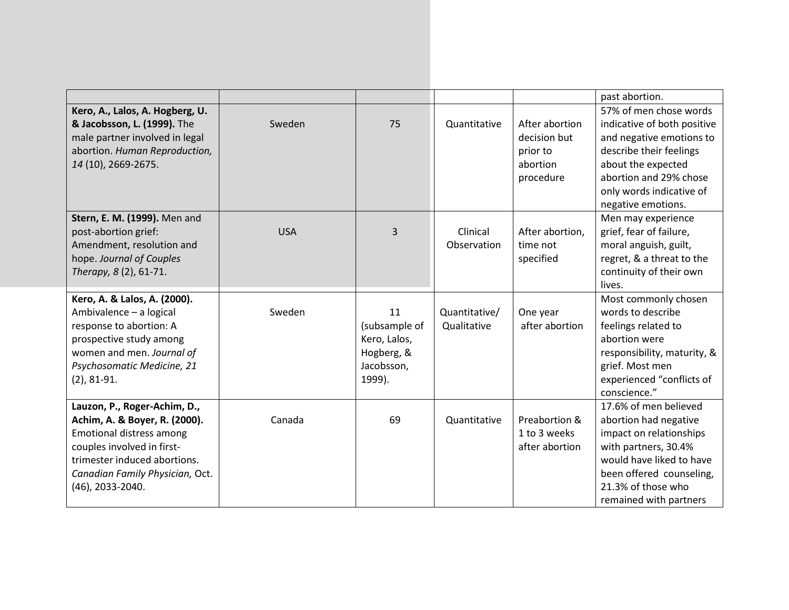|                                                                                                                                                                                                                |            |                                                                           |                              |                                                                     | past abortion.                                                                                                                                                                                                 |
|----------------------------------------------------------------------------------------------------------------------------------------------------------------------------------------------------------------|------------|---------------------------------------------------------------------------|------------------------------|---------------------------------------------------------------------|----------------------------------------------------------------------------------------------------------------------------------------------------------------------------------------------------------------|
| Kero, A., Lalos, A. Hogberg, U.<br>& Jacobsson, L. (1999). The<br>male partner involved in legal<br>abortion. Human Reproduction,<br>14 (10), 2669-2675.                                                       | Sweden     | 75                                                                        | Quantitative                 | After abortion<br>decision but<br>prior to<br>abortion<br>procedure | 57% of men chose words<br>indicative of both positive<br>and negative emotions to<br>describe their feelings<br>about the expected<br>abortion and 29% chose<br>only words indicative of<br>negative emotions. |
| Stern, E. M. (1999). Men and<br>post-abortion grief:<br>Amendment, resolution and<br>hope. Journal of Couples<br>Therapy, 8 (2), 61-71.                                                                        | <b>USA</b> | 3                                                                         | Clinical<br>Observation      | After abortion,<br>time not<br>specified                            | Men may experience<br>grief, fear of failure,<br>moral anguish, guilt,<br>regret, & a threat to the<br>continuity of their own<br>lives.                                                                       |
| Kero, A. & Lalos, A. (2000).<br>Ambivalence - a logical<br>response to abortion: A<br>prospective study among<br>women and men. Journal of<br>Psychosomatic Medicine, 21<br>$(2), 81-91.$                      | Sweden     | 11<br>(subsample of<br>Kero, Lalos,<br>Hogberg, &<br>Jacobsson,<br>1999). | Quantitative/<br>Qualitative | One year<br>after abortion                                          | Most commonly chosen<br>words to describe<br>feelings related to<br>abortion were<br>responsibility, maturity, &<br>grief. Most men<br>experienced "conflicts of<br>conscience."                               |
| Lauzon, P., Roger-Achim, D.,<br>Achim, A. & Boyer, R. (2000).<br>Emotional distress among<br>couples involved in first-<br>trimester induced abortions.<br>Canadian Family Physician, Oct.<br>(46), 2033-2040. | Canada     | 69                                                                        | Quantitative                 | Preabortion &<br>1 to 3 weeks<br>after abortion                     | 17.6% of men believed<br>abortion had negative<br>impact on relationships<br>with partners, 30.4%<br>would have liked to have<br>been offered counseling,<br>21.3% of those who<br>remained with partners      |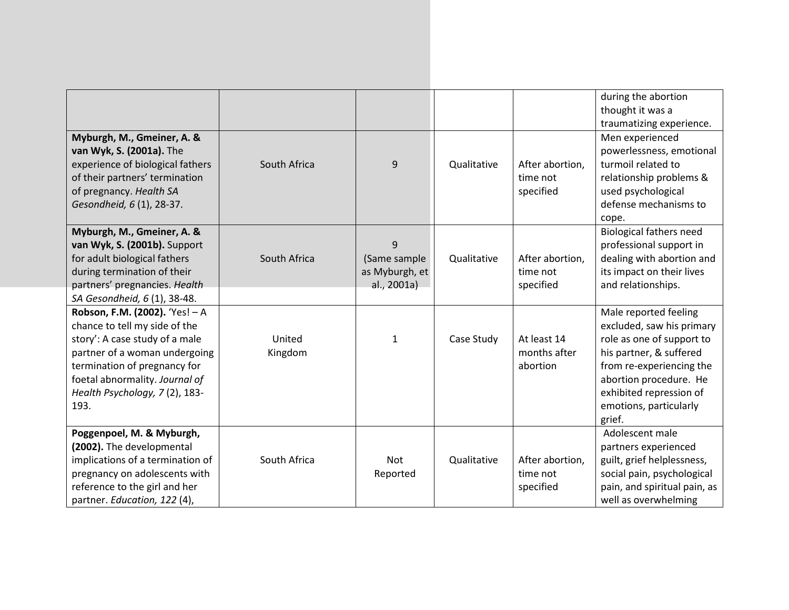|                                  |              |                |             |                 | during the abortion            |
|----------------------------------|--------------|----------------|-------------|-----------------|--------------------------------|
|                                  |              |                |             |                 | thought it was a               |
|                                  |              |                |             |                 | traumatizing experience.       |
| Myburgh, M., Gmeiner, A. &       |              |                |             |                 | Men experienced                |
| van Wyk, S. (2001a). The         |              |                |             |                 | powerlessness, emotional       |
| experience of biological fathers | South Africa | 9              | Qualitative | After abortion, | turmoil related to             |
| of their partners' termination   |              |                |             | time not        | relationship problems &        |
| of pregnancy. Health SA          |              |                |             | specified       | used psychological             |
| Gesondheid, 6 (1), 28-37.        |              |                |             |                 | defense mechanisms to          |
|                                  |              |                |             |                 | cope.                          |
| Myburgh, M., Gmeiner, A. &       |              |                |             |                 | <b>Biological fathers need</b> |
| van Wyk, S. (2001b). Support     |              | 9              |             |                 | professional support in        |
| for adult biological fathers     | South Africa | (Same sample   | Qualitative | After abortion, | dealing with abortion and      |
| during termination of their      |              | as Myburgh, et |             | time not        | its impact on their lives      |
| partners' pregnancies. Health    |              | al., 2001a)    |             | specified       | and relationships.             |
| SA Gesondheid, 6 (1), 38-48.     |              |                |             |                 |                                |
| Robson, F.M. (2002). 'Yes! - A   |              |                |             |                 | Male reported feeling          |
| chance to tell my side of the    |              |                |             |                 | excluded, saw his primary      |
| story': A case study of a male   | United       | $\mathbf{1}$   | Case Study  | At least 14     | role as one of support to      |
| partner of a woman undergoing    | Kingdom      |                |             | months after    | his partner, & suffered        |
| termination of pregnancy for     |              |                |             | abortion        | from re-experiencing the       |
| foetal abnormality. Journal of   |              |                |             |                 | abortion procedure. He         |
| Health Psychology, 7(2), 183-    |              |                |             |                 | exhibited repression of        |
| 193.                             |              |                |             |                 | emotions, particularly         |
|                                  |              |                |             |                 | grief.                         |
| Poggenpoel, M. & Myburgh,        |              |                |             |                 | Adolescent male                |
| (2002). The developmental        |              |                |             |                 | partners experienced           |
| implications of a termination of | South Africa | Not            | Qualitative | After abortion, | guilt, grief helplessness,     |
| pregnancy on adolescents with    |              | Reported       |             | time not        | social pain, psychological     |
| reference to the girl and her    |              |                |             | specified       | pain, and spiritual pain, as   |
| partner. Education, 122 (4),     |              |                |             |                 | well as overwhelming           |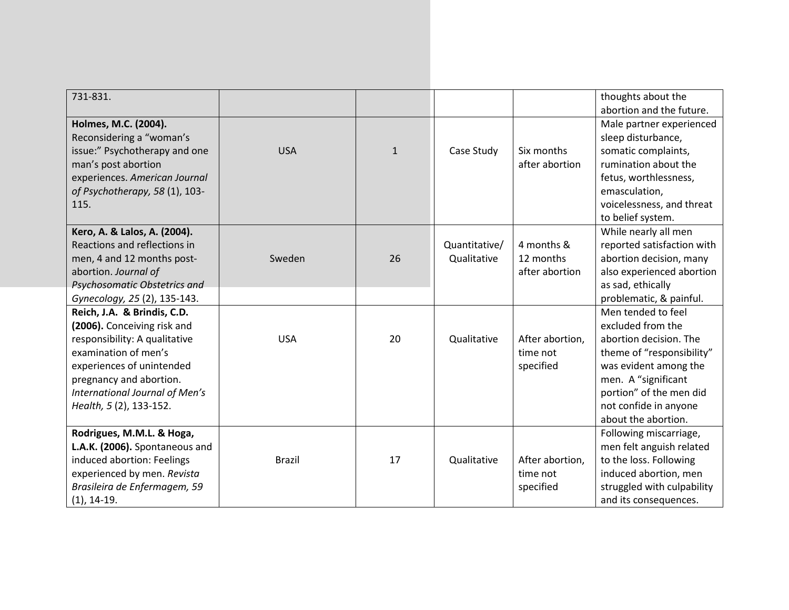| 731-831.                       |               |              |               |                 | thoughts about the         |
|--------------------------------|---------------|--------------|---------------|-----------------|----------------------------|
|                                |               |              |               |                 | abortion and the future.   |
| Holmes, M.C. (2004).           |               |              |               |                 | Male partner experienced   |
| Reconsidering a "woman's       |               |              |               |                 | sleep disturbance,         |
| issue:" Psychotherapy and one  | <b>USA</b>    | $\mathbf{1}$ | Case Study    | Six months      | somatic complaints,        |
| man's post abortion            |               |              |               | after abortion  | rumination about the       |
| experiences. American Journal  |               |              |               |                 | fetus, worthlessness,      |
| of Psychotherapy, 58 (1), 103- |               |              |               |                 | emasculation,              |
| 115.                           |               |              |               |                 | voicelessness, and threat  |
|                                |               |              |               |                 | to belief system.          |
| Kero, A. & Lalos, A. (2004).   |               |              |               |                 | While nearly all men       |
| Reactions and reflections in   |               |              | Quantitative/ | 4 months &      | reported satisfaction with |
| men, 4 and 12 months post-     | Sweden        | 26           | Qualitative   | 12 months       | abortion decision, many    |
| abortion. Journal of           |               |              |               | after abortion  | also experienced abortion  |
| Psychosomatic Obstetrics and   |               |              |               |                 | as sad, ethically          |
| Gynecology, 25 (2), 135-143.   |               |              |               |                 | problematic, & painful.    |
| Reich, J.A. & Brindis, C.D.    |               |              |               |                 | Men tended to feel         |
| (2006). Conceiving risk and    |               |              |               |                 | excluded from the          |
| responsibility: A qualitative  | <b>USA</b>    | 20           | Qualitative   | After abortion, | abortion decision. The     |
| examination of men's           |               |              |               | time not        | theme of "responsibility"  |
| experiences of unintended      |               |              |               | specified       | was evident among the      |
| pregnancy and abortion.        |               |              |               |                 | men. A "significant        |
| International Journal of Men's |               |              |               |                 | portion" of the men did    |
| Health, 5 (2), 133-152.        |               |              |               |                 | not confide in anyone      |
|                                |               |              |               |                 | about the abortion.        |
| Rodrigues, M.M.L. & Hoga,      |               |              |               |                 | Following miscarriage,     |
| L.A.K. (2006). Spontaneous and |               |              |               |                 | men felt anguish related   |
| induced abortion: Feelings     | <b>Brazil</b> | 17           | Qualitative   | After abortion, | to the loss. Following     |
| experienced by men. Revista    |               |              |               | time not        | induced abortion, men      |
| Brasileira de Enfermagem, 59   |               |              |               | specified       | struggled with culpability |
| $(1)$ , 14-19.                 |               |              |               |                 | and its consequences.      |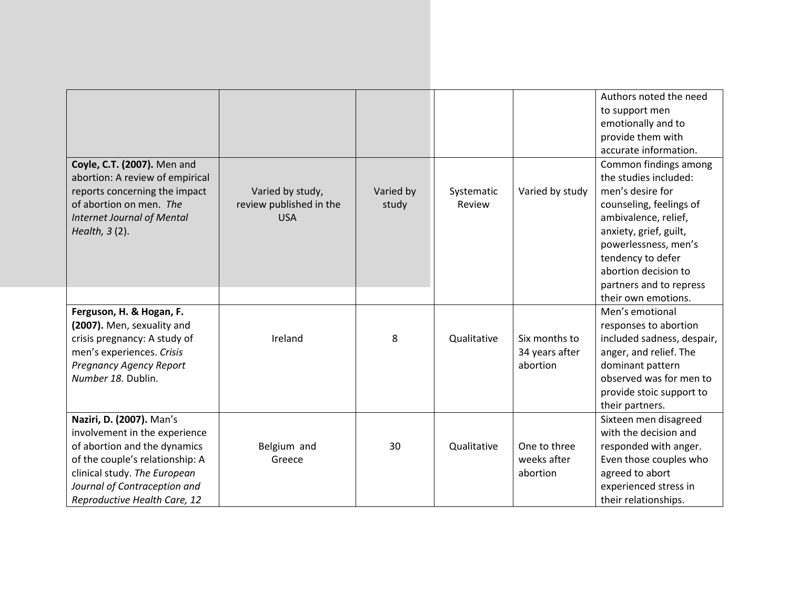|                                   |                         |           |             |                 | Authors noted the need     |
|-----------------------------------|-------------------------|-----------|-------------|-----------------|----------------------------|
|                                   |                         |           |             |                 | to support men             |
|                                   |                         |           |             |                 | emotionally and to         |
|                                   |                         |           |             |                 | provide them with          |
|                                   |                         |           |             |                 | accurate information.      |
| Coyle, C.T. (2007). Men and       |                         |           |             |                 | Common findings among      |
| abortion: A review of empirical   |                         |           |             |                 | the studies included:      |
| reports concerning the impact     | Varied by study,        | Varied by | Systematic  | Varied by study | men's desire for           |
| of abortion on men. The           | review published in the | study     | Review      |                 | counseling, feelings of    |
| <b>Internet Journal of Mental</b> | <b>USA</b>              |           |             |                 | ambivalence, relief,       |
| Health, 3 (2).                    |                         |           |             |                 | anxiety, grief, guilt,     |
|                                   |                         |           |             |                 | powerlessness, men's       |
|                                   |                         |           |             |                 | tendency to defer          |
|                                   |                         |           |             |                 | abortion decision to       |
|                                   |                         |           |             |                 | partners and to repress    |
|                                   |                         |           |             |                 | their own emotions.        |
| Ferguson, H. & Hogan, F.          |                         |           |             |                 | Men's emotional            |
| (2007). Men, sexuality and        |                         |           |             |                 | responses to abortion      |
| crisis pregnancy: A study of      | Ireland                 | 8         | Qualitative | Six months to   | included sadness, despair, |
| men's experiences. Crisis         |                         |           |             | 34 years after  | anger, and relief. The     |
| <b>Pregnancy Agency Report</b>    |                         |           |             | abortion        | dominant pattern           |
| Number 18. Dublin.                |                         |           |             |                 | observed was for men to    |
|                                   |                         |           |             |                 | provide stoic support to   |
|                                   |                         |           |             |                 | their partners.            |
| Naziri, D. (2007). Man's          |                         |           |             |                 | Sixteen men disagreed      |
| involvement in the experience     |                         |           |             |                 | with the decision and      |
| of abortion and the dynamics      | Belgium and             | 30        | Qualitative | One to three    | responded with anger.      |
| of the couple's relationship: A   | Greece                  |           |             | weeks after     | Even those couples who     |
| clinical study. The European      |                         |           |             | abortion        | agreed to abort            |
| Journal of Contraception and      |                         |           |             |                 | experienced stress in      |
| Reproductive Health Care, 12      |                         |           |             |                 | their relationships.       |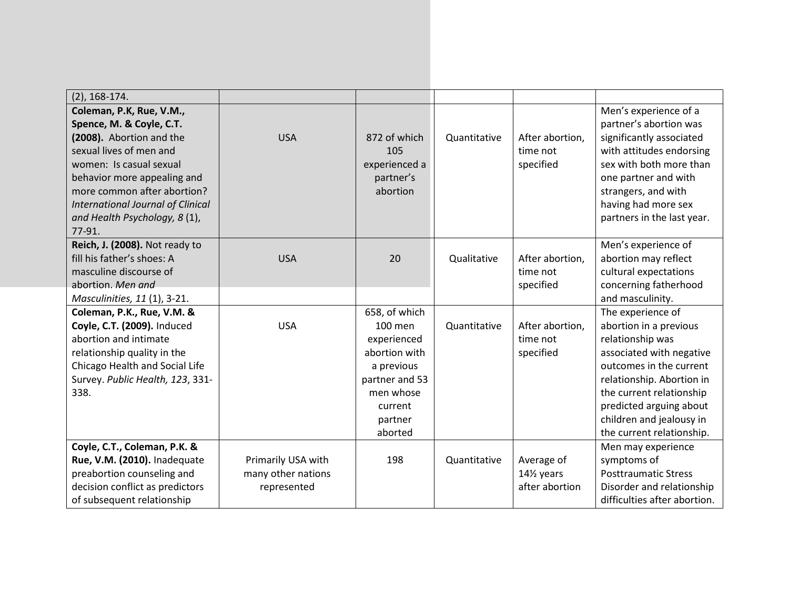| $(2)$ , 168-174.                                                                                                                                                                                                                                                                            |                                                         |                                                                                                                                        |              |                                                         |                                                                                                                                                                                                                                                                     |
|---------------------------------------------------------------------------------------------------------------------------------------------------------------------------------------------------------------------------------------------------------------------------------------------|---------------------------------------------------------|----------------------------------------------------------------------------------------------------------------------------------------|--------------|---------------------------------------------------------|---------------------------------------------------------------------------------------------------------------------------------------------------------------------------------------------------------------------------------------------------------------------|
| Coleman, P.K, Rue, V.M.,<br>Spence, M. & Coyle, C.T.<br>(2008). Abortion and the<br>sexual lives of men and<br>women: Is casual sexual<br>behavior more appealing and<br>more common after abortion?<br><b>International Journal of Clinical</b><br>and Health Psychology, 8 (1),<br>77-91. | <b>USA</b>                                              | 872 of which<br>105<br>experienced a<br>partner's<br>abortion                                                                          | Quantitative | After abortion,<br>time not<br>specified                | Men's experience of a<br>partner's abortion was<br>significantly associated<br>with attitudes endorsing<br>sex with both more than<br>one partner and with<br>strangers, and with<br>having had more sex<br>partners in the last year.                              |
| Reich, J. (2008). Not ready to<br>fill his father's shoes: A<br>masculine discourse of<br>abortion. Men and<br>Masculinities, 11 (1), 3-21.                                                                                                                                                 | <b>USA</b>                                              | 20                                                                                                                                     | Qualitative  | After abortion,<br>time not<br>specified                | Men's experience of<br>abortion may reflect<br>cultural expectations<br>concerning fatherhood<br>and masculinity.                                                                                                                                                   |
| Coleman, P.K., Rue, V.M. &<br>Coyle, C.T. (2009). Induced<br>abortion and intimate<br>relationship quality in the<br>Chicago Health and Social Life<br>Survey. Public Health, 123, 331-<br>338.                                                                                             | <b>USA</b>                                              | 658, of which<br>100 men<br>experienced<br>abortion with<br>a previous<br>partner and 53<br>men whose<br>current<br>partner<br>aborted | Quantitative | After abortion,<br>time not<br>specified                | The experience of<br>abortion in a previous<br>relationship was<br>associated with negative<br>outcomes in the current<br>relationship. Abortion in<br>the current relationship<br>predicted arguing about<br>children and jealousy in<br>the current relationship. |
| Coyle, C.T., Coleman, P.K. &<br>Rue, V.M. (2010). Inadequate<br>preabortion counseling and<br>decision conflict as predictors<br>of subsequent relationship                                                                                                                                 | Primarily USA with<br>many other nations<br>represented | 198                                                                                                                                    | Quantitative | Average of<br>141/ <sub>2</sub> years<br>after abortion | Men may experience<br>symptoms of<br><b>Posttraumatic Stress</b><br>Disorder and relationship<br>difficulties after abortion.                                                                                                                                       |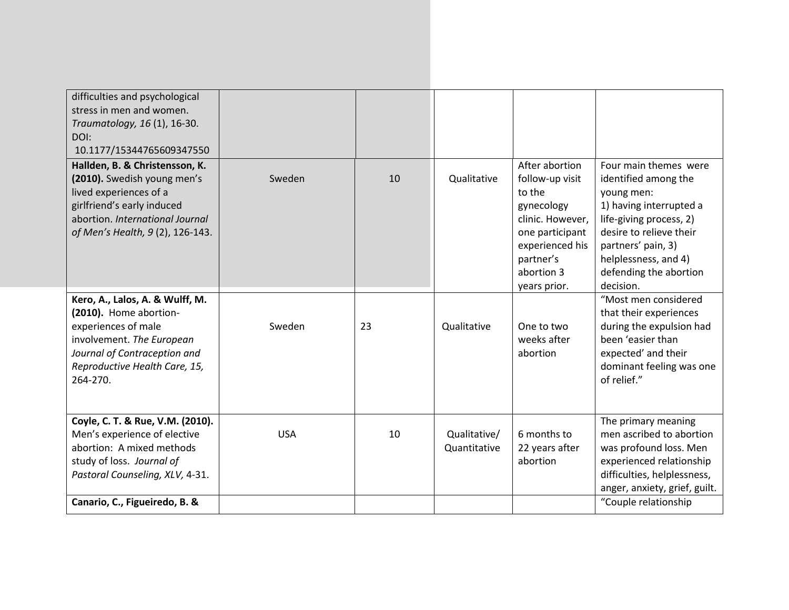| difficulties and psychological<br>stress in men and women.<br>Traumatology, 16 (1), 16-30.<br>DOI:<br>10.1177/15344765609347550                                                                |            |    |                              |                                                                                                                                                                |                                                                                                                                                                                                                                   |
|------------------------------------------------------------------------------------------------------------------------------------------------------------------------------------------------|------------|----|------------------------------|----------------------------------------------------------------------------------------------------------------------------------------------------------------|-----------------------------------------------------------------------------------------------------------------------------------------------------------------------------------------------------------------------------------|
| Hallden, B. & Christensson, K.<br>(2010). Swedish young men's<br>lived experiences of a<br>girlfriend's early induced<br>abortion. International Journal<br>of Men's Health, 9 (2), 126-143.   | Sweden     | 10 | Qualitative                  | After abortion<br>follow-up visit<br>to the<br>gynecology<br>clinic. However,<br>one participant<br>experienced his<br>partner's<br>abortion 3<br>years prior. | Four main themes were<br>identified among the<br>young men:<br>1) having interrupted a<br>life-giving process, 2)<br>desire to relieve their<br>partners' pain, 3)<br>helplessness, and 4)<br>defending the abortion<br>decision. |
| Kero, A., Lalos, A. & Wulff, M.<br>(2010). Home abortion-<br>experiences of male<br>involvement. The European<br>Journal of Contraception and<br>Reproductive Health Care, 15,<br>264-270.     | Sweden     | 23 | Qualitative                  | One to two<br>weeks after<br>abortion                                                                                                                          | "Most men considered<br>that their experiences<br>during the expulsion had<br>been 'easier than<br>expected' and their<br>dominant feeling was one<br>of relief."                                                                 |
| Coyle, C. T. & Rue, V.M. (2010).<br>Men's experience of elective<br>abortion: A mixed methods<br>study of loss. Journal of<br>Pastoral Counseling, XLV, 4-31.<br>Canario, C., Figueiredo, B. & | <b>USA</b> | 10 | Qualitative/<br>Quantitative | 6 months to<br>22 years after<br>abortion                                                                                                                      | The primary meaning<br>men ascribed to abortion<br>was profound loss. Men<br>experienced relationship<br>difficulties, helplessness,<br>anger, anxiety, grief, guilt.<br>"Couple relationship                                     |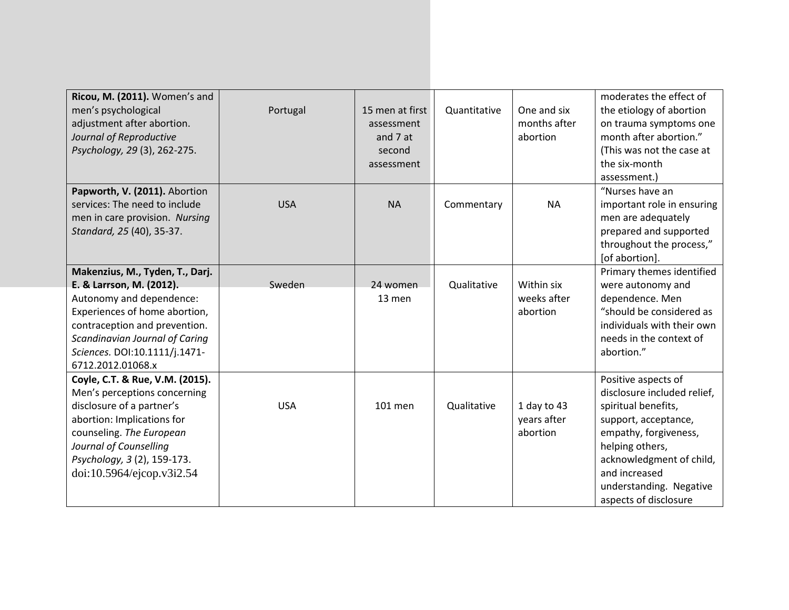| Ricou, M. (2011). Women's and<br>men's psychological<br>adjustment after abortion.<br>Journal of Reproductive<br>Psychology, 29 (3), 262-275.                                                                                                     | Portugal   | 15 men at first<br>assessment<br>and 7 at<br>second<br>assessment | Quantitative | One and six<br>months after<br>abortion | moderates the effect of<br>the etiology of abortion<br>on trauma symptoms one<br>month after abortion."<br>(This was not the case at<br>the six-month<br>assessment.)                                                                          |
|---------------------------------------------------------------------------------------------------------------------------------------------------------------------------------------------------------------------------------------------------|------------|-------------------------------------------------------------------|--------------|-----------------------------------------|------------------------------------------------------------------------------------------------------------------------------------------------------------------------------------------------------------------------------------------------|
| Papworth, V. (2011). Abortion<br>services: The need to include<br>men in care provision. Nursing<br>Standard, 25 (40), 35-37.                                                                                                                     | <b>USA</b> | <b>NA</b>                                                         | Commentary   | <b>NA</b>                               | "Nurses have an<br>important role in ensuring<br>men are adequately<br>prepared and supported<br>throughout the process,"<br>[of abortion].                                                                                                    |
| Makenzius, M., Tyden, T., Darj.<br>E. & Larrson, M. (2012).<br>Autonomy and dependence:<br>Experiences of home abortion,<br>contraception and prevention.<br>Scandinavian Journal of Caring<br>Sciences. DOI:10.1111/j.1471-<br>6712.2012.01068.x | Sweden     | 24 women<br>13 men                                                | Qualitative  | Within six<br>weeks after<br>abortion   | Primary themes identified<br>were autonomy and<br>dependence. Men<br>"should be considered as<br>individuals with their own<br>needs in the context of<br>abortion."                                                                           |
| Coyle, C.T. & Rue, V.M. (2015).<br>Men's perceptions concerning<br>disclosure of a partner's<br>abortion: Implications for<br>counseling. The European<br>Journal of Counselling<br>Psychology, 3 (2), 159-173.<br>doi:10.5964/ejcop.v3i2.54      | <b>USA</b> | 101 men                                                           | Qualitative  | 1 day to 43<br>years after<br>abortion  | Positive aspects of<br>disclosure included relief,<br>spiritual benefits,<br>support, acceptance,<br>empathy, forgiveness,<br>helping others,<br>acknowledgment of child,<br>and increased<br>understanding. Negative<br>aspects of disclosure |